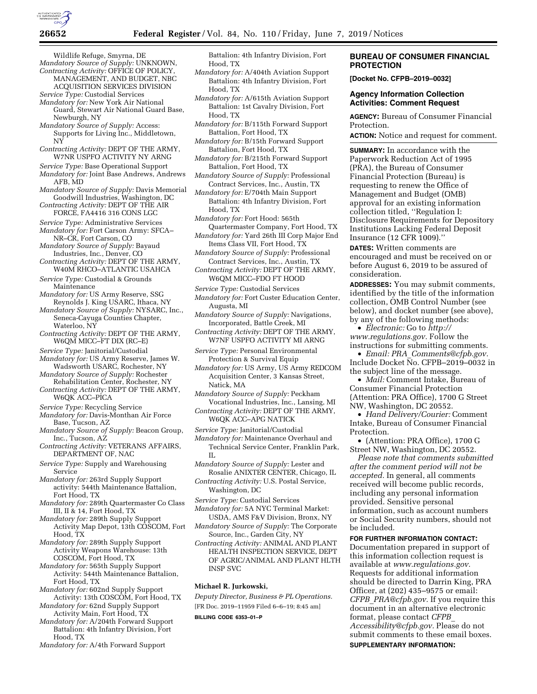

Wildlife Refuge, Smyrna, DE *Mandatory Source of Supply:* UNKNOWN, *Contracting Activity:* OFFICE OF POLICY, MANAGEMENT, AND BUDGET, NBC

ACQUISITION SERVICES DIVISION *Service Type:* Custodial Services

*Mandatory for:* New York Air National Guard, Stewart Air National Guard Base, Newburgh, NY

*Mandatory Source of Supply:* Access: Supports for Living Inc., Middletown, NY

*Contracting Activity:* DEPT OF THE ARMY, W7NR USPFO ACTIVITY NY ARNG

*Service Type:* Base Operational Support *Mandatory for:* Joint Base Andrews, Andrews AFB, MD

*Mandatory Source of Supply:* Davis Memorial Goodwill Industries, Washington, DC

*Contracting Activity:* DEPT OF THE AIR FORCE, FA4416 316 CONS LGC

*Service Type:* Administrative Services *Mandatory for:* Fort Carson Army: SFCA–

NR–CR, Fort Carson, CO *Mandatory Source of Supply:* Bayaud

Industries, Inc., Denver, CO *Contracting Activity:* DEPT OF THE ARMY, W40M RHCO–ATLANTIC USAHCA

*Service Type:* Custodial & Grounds Maintenance

*Mandatory for:* US Army Reserve, SSG Reynolds J. King USARC, Ithaca, NY

*Mandatory Source of Supply:* NYSARC, Inc., Seneca-Cayuga Counties Chapter, Waterloo, NY

*Contracting Activity:* DEPT OF THE ARMY, W6QM MICC–FT DIX (RC–E)

*Service Type:* Janitorial/Custodial

*Mandatory for:* US Army Reserve, James W. Wadsworth USARC, Rochester, NY *Mandatory Source of Supply:* Rochester

Rehabilitation Center, Rochester, NY *Contracting Activity:* DEPT OF THE ARMY,

W6QK ACC–PICA *Service Type:* Recycling Service

*Mandatory for:* Davis-Monthan Air Force

Base, Tucson, AZ *Mandatory Source of Supply:* Beacon Group,

Inc., Tucson, AZ *Contracting Activity:* VETERANS AFFAIRS, DEPARTMENT OF, NAC

*Service Type:* Supply and Warehousing Service

*Mandatory for:* 263rd Supply Support activity: 544th Maintenance Battalion, Fort Hood, TX

*Mandatory for:* 289th Quartermaster Co Class III, II & 14, Fort Hood, TX

*Mandatory for:* 289th Supply Support Activity Map Depot, 13th COSCOM, Fort Hood, TX

*Mandatory for:* 289th Supply Support Activity Weapons Warehouse: 13th COSCOM, Fort Hood, TX

*Mandatory for:* 565th Supply Support Activity: 544th Maintenance Battalion, Fort Hood, TX

*Mandatory for:* 602nd Supply Support Activity: 13th COSCOM, Fort Hood, TX

*Mandatory for:* 62nd Supply Support Activity Main, Fort Hood, TX

*Mandatory for:* A/204th Forward Support Battalion: 4th Infantry Division, Fort Hood, TX

*Mandatory for:* A/4th Forward Support

Battalion: 4th Infantry Division, Fort Hood, TX

*Mandatory for:* A/404th Aviation Support Battalion: 4th Infantry Division, Fort Hood, TX

*Mandatory for:* A/615th Aviation Support Battalion: 1st Cavalry Division, Fort Hood, TX

*Mandatory for:* B/115th Forward Support Battalion, Fort Hood, TX

*Mandatory for:* B/15th Forward Support Battalion, Fort Hood, TX

*Mandatory for:* B/215th Forward Support Battalion, Fort Hood, TX

*Mandatory Source of Supply:* Professional Contract Services, Inc., Austin, TX

*Mandatory for:* E/704th Main Support Battalion: 4th Infantry Division, Fort Hood, TX

*Mandatory for:* Fort Hood: 565th Quartermaster Company, Fort Hood, TX *Mandatory for:* Yard 26th III Corp Major End

Items Class VII, Fort Hood, TX *Mandatory Source of Supply:* Professional

Contract Services, Inc., Austin, TX

*Contracting Activity:* DEPT OF THE ARMY, W6QM MICC–FDO FT HOOD

*Service Type:* Custodial Services

*Mandatory for:* Fort Custer Education Center, Augusta, MI

*Mandatory Source of Supply:* Navigations, Incorporated, Battle Creek, MI

*Contracting Activity:* DEPT OF THE ARMY, W7NF USPFO ACTIVITY MI ARNG

*Service Type:* Personal Environmental Protection & Survival Equip

*Mandatory for:* US Army, US Army REDCOM Acquisition Center, 3 Kansas Street, Natick, MA

*Mandatory Source of Supply:* Peckham Vocational Industries, Inc., Lansing, MI

*Contracting Activity:* DEPT OF THE ARMY, W6QK ACC–APG NATICK

*Service Type:* Janitorial/Custodial

*Mandatory for:* Maintenance Overhaul and Technical Service Center, Franklin Park, IL

*Mandatory Source of Supply:* Lester and Rosalie ANIXTER CENTER, Chicago, IL

*Contracting Activity:* U.S. Postal Service, Washington, DC

*Service Type:* Custodial Services

*Mandatory for:* 5A NYC Terminal Market: USDA, AMS F&V Division, Bronx, NY

*Mandatory Source of Supply:* The Corporate Source, Inc., Garden City, NY

*Contracting Activity:* ANIMAL AND PLANT HEALTH INSPECTION SERVICE, DEPT OF AGRIC/ANIMAL AND PLANT HLTH INSP SVC

### **Michael R. Jurkowski,**

*Deputy Director, Business & PL Operations.*  [FR Doc. 2019–11959 Filed 6–6–19; 8:45 am]

**BILLING CODE 6353–01–P** 

## **BUREAU OF CONSUMER FINANCIAL PROTECTION**

**[Docket No. CFPB–2019–0032]** 

### **Agency Information Collection Activities: Comment Request**

**AGENCY:** Bureau of Consumer Financial Protection.

**ACTION:** Notice and request for comment.

**SUMMARY:** In accordance with the Paperwork Reduction Act of 1995 (PRA), the Bureau of Consumer Financial Protection (Bureau) is requesting to renew the Office of Management and Budget (OMB) approval for an existing information collection titled, ''Regulation I: Disclosure Requirements for Depository Institutions Lacking Federal Deposit Insurance (12 CFR 1009).''

**DATES:** Written comments are encouraged and must be received on or before August 6, 2019 to be assured of consideration.

**ADDRESSES:** You may submit comments, identified by the title of the information collection, OMB Control Number (see below), and docket number (see above), by any of the following methods:

• *Electronic:* Go to *[http://](http://www.regulations.gov) [www.regulations.gov.](http://www.regulations.gov)* Follow the instructions for submitting comments.

• *Email: PRA*\_*[Comments@cfpb.gov.](mailto:PRA_Comments@cfpb.gov)*  Include Docket No. CFPB–2019–0032 in the subject line of the message.

• *Mail:* Comment Intake, Bureau of Consumer Financial Protection (Attention: PRA Office), 1700 G Street NW, Washington, DC 20552.

• *Hand Delivery/Courier:* Comment Intake, Bureau of Consumer Financial Protection.

• (Attention: PRA Office), 1700 G Street NW, Washington, DC 20552.

*Please note that comments submitted after the comment period will not be accepted.* In general, all comments received will become public records, including any personal information provided. Sensitive personal information, such as account numbers or Social Security numbers, should not be included.

**FOR FURTHER INFORMATION CONTACT:** 

Documentation prepared in support of this information collection request is available at *[www.regulations.gov.](http://www.regulations.gov)*  Requests for additional information should be directed to Darrin King, PRA Officer, at (202) 435–9575 or email: *CFPB*\_*[PRA@cfpb.gov.](mailto:CFPB_PRA@cfpb.gov)* If you require this document in an alternative electronic format, please contact *[CFPB](mailto:CFPB_Accessibility@cfpb.gov)*\_ *[Accessibility@cfpb.gov.](mailto:CFPB_Accessibility@cfpb.gov)* Please do not submit comments to these email boxes. **SUPPLEMENTARY INFORMATION:**